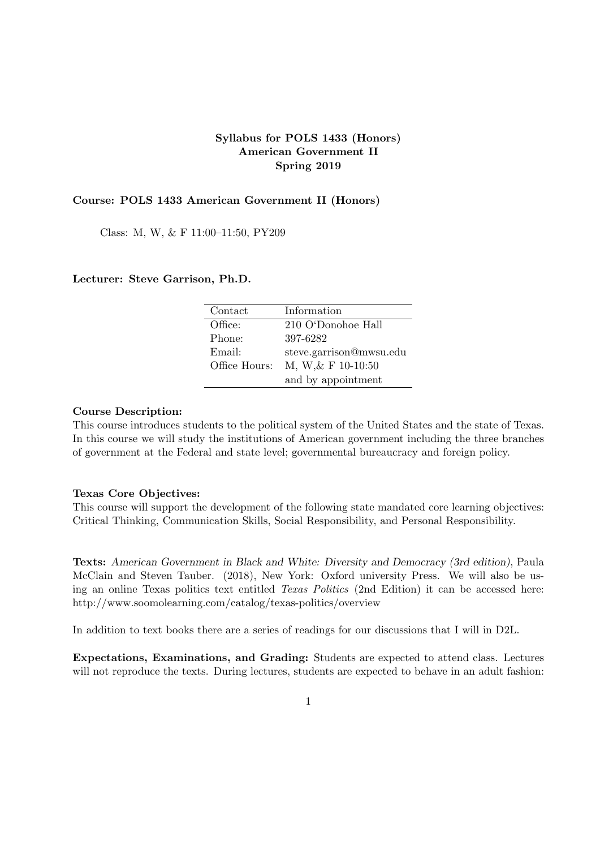#### **Syllabus for POLS 1433 (Honors) American Government II Spring 2019**

#### **Course: POLS 1433 American Government II (Honors)**

Class: M, W, & F 11:00–11:50, PY209

#### **Lecturer: Steve Garrison, Ph.D.**

| Contact       | Information             |
|---------------|-------------------------|
| Office:       | 210 O'Donohoe Hall      |
| Phone:        | 397-6282                |
| Email:        | steve.garrison@mwsu.edu |
| Office Hours: | M, W, & F 10-10:50      |
|               | and by appointment      |

#### **Course Description:**

This course introduces students to the political system of the United States and the state of Texas. In this course we will study the institutions of American government including the three branches of government at the Federal and state level; governmental bureaucracy and foreign policy.

#### **Texas Core Objectives:**

This course will support the development of the following state mandated core learning objectives: Critical Thinking, Communication Skills, Social Responsibility, and Personal Responsibility.

**Texts:** *American Government in Black and White: Diversity and Democracy (3rd edition)*, Paula McClain and Steven Tauber. (2018), New York: Oxford university Press. We will also be using an online Texas politics text entitled *Texas Politics* (2nd Edition) it can be accessed here: http://www.soomolearning.com/catalog/texas-politics/overview

In addition to text books there are a series of readings for our discussions that I will in D2L.

**Expectations, Examinations, and Grading:** Students are expected to attend class. Lectures will not reproduce the texts. During lectures, students are expected to behave in an adult fashion: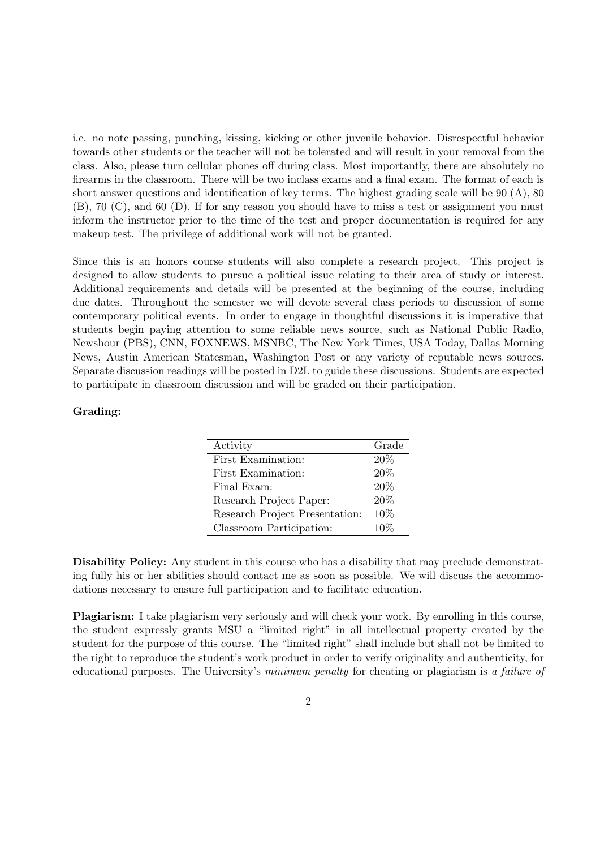i.e. no note passing, punching, kissing, kicking or other juvenile behavior. Disrespectful behavior towards other students or the teacher will not be tolerated and will result in your removal from the class. Also, please turn cellular phones off during class. Most importantly, there are absolutely no firearms in the classroom. There will be two inclass exams and a final exam. The format of each is short answer questions and identification of key terms. The highest grading scale will be 90 (A), 80 (B), 70 (C), and 60 (D). If for any reason you should have to miss a test or assignment you must inform the instructor prior to the time of the test and proper documentation is required for any makeup test. The privilege of additional work will not be granted.

Since this is an honors course students will also complete a research project. This project is designed to allow students to pursue a political issue relating to their area of study or interest. Additional requirements and details will be presented at the beginning of the course, including due dates. Throughout the semester we will devote several class periods to discussion of some contemporary political events. In order to engage in thoughtful discussions it is imperative that students begin paying attention to some reliable news source, such as National Public Radio, Newshour (PBS), CNN, FOXNEWS, MSNBC, The New York Times, USA Today, Dallas Morning News, Austin American Statesman, Washington Post or any variety of reputable news sources. Separate discussion readings will be posted in D2L to guide these discussions. Students are expected to participate in classroom discussion and will be graded on their participation.

#### **Grading:**

| Activity                       | Grade  |
|--------------------------------|--------|
| First Examination:             | 20%    |
| First Examination:             | 20%    |
| Final Exam:                    | 20%    |
| Research Project Paper:        | 20%    |
| Research Project Presentation: | 10%    |
| Classroom Participation:       | $10\%$ |

**Disability Policy:** Any student in this course who has a disability that may preclude demonstrating fully his or her abilities should contact me as soon as possible. We will discuss the accommodations necessary to ensure full participation and to facilitate education.

**Plagiarism:** I take plagiarism very seriously and will check your work. By enrolling in this course, the student expressly grants MSU a "limited right" in all intellectual property created by the student for the purpose of this course. The "limited right" shall include but shall not be limited to the right to reproduce the student's work product in order to verify originality and authenticity, for educational purposes. The University's *minimum penalty* for cheating or plagiarism is *a failure of*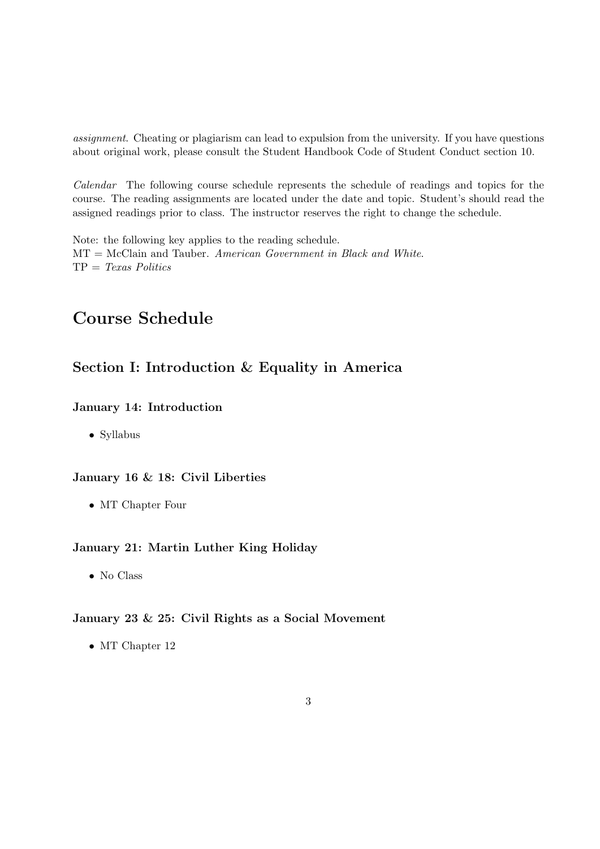*assignment*. Cheating or plagiarism can lead to expulsion from the university. If you have questions about original work, please consult the Student Handbook Code of Student Conduct section 10.

*Calendar* The following course schedule represents the schedule of readings and topics for the course. The reading assignments are located under the date and topic. Student's should read the assigned readings prior to class. The instructor reserves the right to change the schedule.

Note: the following key applies to the reading schedule. MT = McClain and Tauber. *American Government in Black and White*. TP = *Texas Politics*

# **Course Schedule**

## **Section I: Introduction & Equality in America**

## **January 14: Introduction**

*•* Syllabus

### **January 16 & 18: Civil Liberties**

*•* MT Chapter Four

### **January 21: Martin Luther King Holiday**

*•* No Class

#### **January 23 & 25: Civil Rights as a Social Movement**

• MT Chapter 12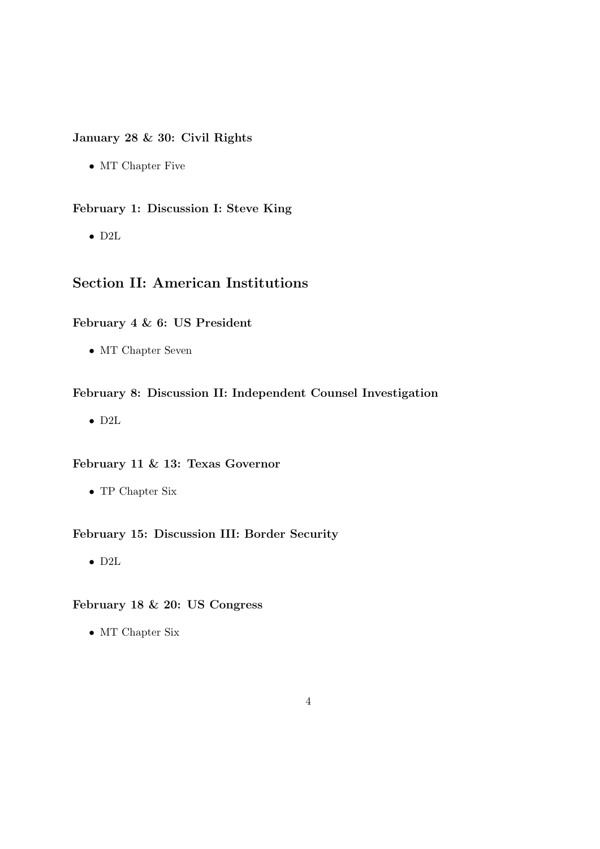### **January 28 & 30: Civil Rights**

*•* MT Chapter Five

**February 1: Discussion I: Steve King**

*•* D2L

## **Section II: American Institutions**

#### **February 4 & 6: US President**

*•* MT Chapter Seven

#### **February 8: Discussion II: Independent Counsel Investigation**

*•* D2L

#### **February 11 & 13: Texas Governor**

*•* TP Chapter Six

#### **February 15: Discussion III: Border Security**

*•* D2L

## **February 18 & 20: US Congress**

*•* MT Chapter Six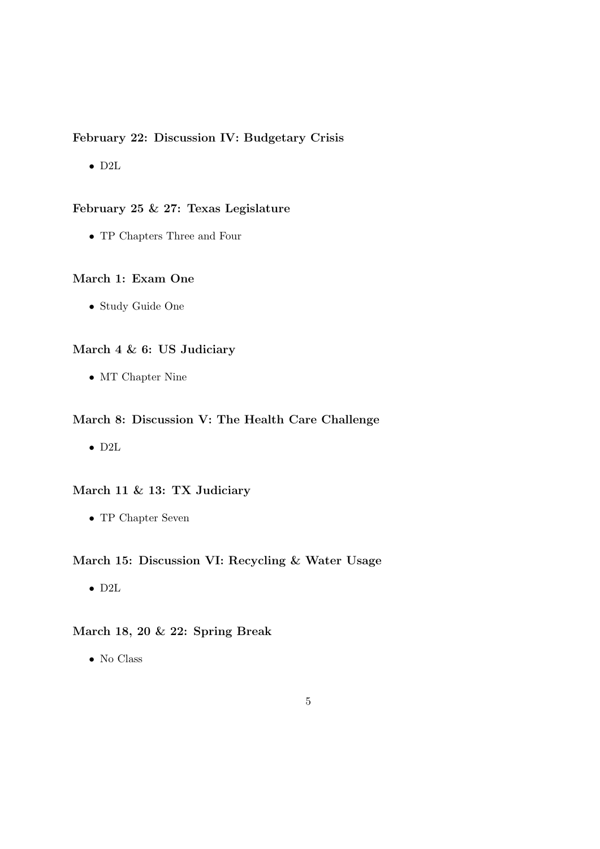#### **February 22: Discussion IV: Budgetary Crisis**

*•* D2L

#### **February 25 & 27: Texas Legislature**

*•* TP Chapters Three and Four

#### **March 1: Exam One**

*•* Study Guide One

## **March 4 & 6: US Judiciary**

*•* MT Chapter Nine

#### **March 8: Discussion V: The Health Care Challenge**

*•* D2L

### **March 11 & 13: TX Judiciary**

*•* TP Chapter Seven

#### **March 15: Discussion VI: Recycling & Water Usage**

*•* D2L

### **March 18, 20 & 22: Spring Break**

*•* No Class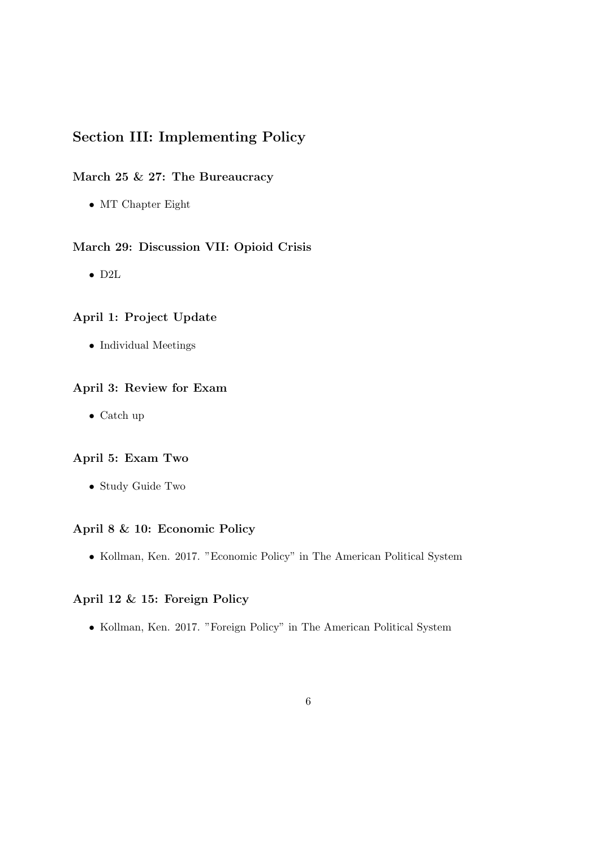## **Section III: Implementing Policy**

## **March 25 & 27: The Bureaucracy**

*•* MT Chapter Eight

#### **March 29: Discussion VII: Opioid Crisis**

*•* D2L

#### **April 1: Project Update**

*•* Individual Meetings

#### **April 3: Review for Exam**

*•* Catch up

#### **April 5: Exam Two**

*•* Study Guide Two

#### **April 8 & 10: Economic Policy**

*•* Kollman, Ken. 2017. "Economic Policy" in The American Political System

#### **April 12 & 15: Foreign Policy**

*•* Kollman, Ken. 2017. "Foreign Policy" in The American Political System